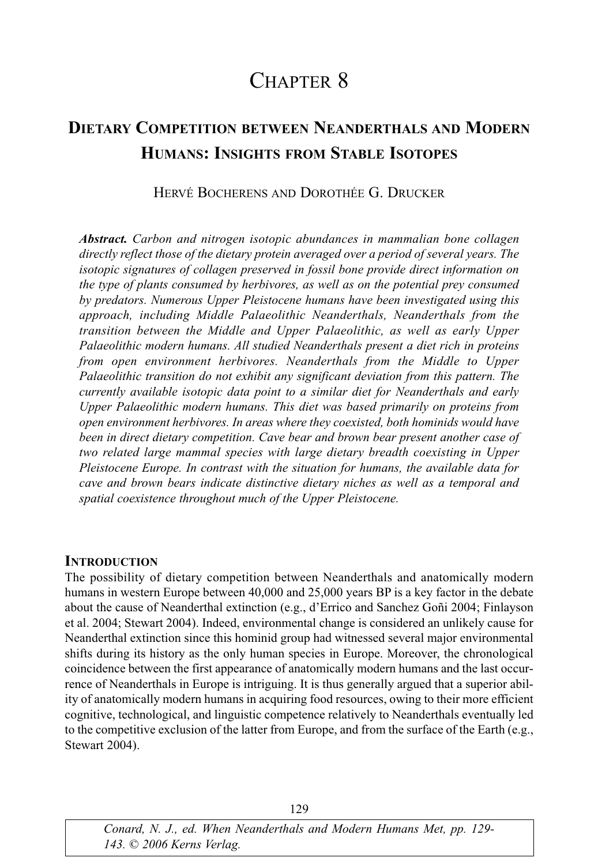# CHAPTER 8

# DIETARY COMPETITION BETWEEN NEANDERTHALS AND MODERN HUMANS: INSIGHTS FROM STABLE ISOTOPES

## HERVÉ BOCHERENS AND DOROTHÉE G. DRUCKER

Abstract. Carbon and nitrogen isotopic abundances in mammalian bone collagen directly reflect those of the dietary protein averaged over a period of several years. The isotopic signatures of collagen preserved in fossil bone provide direct information on the type of plants consumed by herbivores, as well as on the potential prey consumed by predators. Numerous Upper Pleistocene humans have been investigated using this approach, including Middle Palaeolithic Neanderthals, Neanderthals from the transition between the Middle and Upper Palaeolithic, as well as early Upper Palaeolithic modern humans. All studied Neanderthals present a diet rich in proteins from open environment herbivores. Neanderthals from the Middle to Upper Palaeolithic transition do not exhibit any significant deviation from this pattern. The currently available isotopic data point to a similar diet for Neanderthals and early Upper Palaeolithic modern humans. This diet was based primarily on proteins from open environment herbivores. In areas where they coexisted, both hominids would have been in direct dietary competition. Cave bear and brown bear present another case of two related large mammal species with large dietary breadth coexisting in Upper Pleistocene Europe. In contrast with the situation for humans, the available data for cave and brown bears indicate distinctive dietary niches as well as a temporal and spatial coexistence throughout much of the Upper Pleistocene.

#### **INTRODUCTION**

The possibility of dietary competition between Neanderthals and anatomically modern humans in western Europe between 40,000 and 25,000 years BP is a key factor in the debate about the cause of Neanderthal extinction (e.g., d'Errico and Sanchez Goñi 2004; Finlayson et al. 2004; Stewart 2004). Indeed, environmental change is considered an unlikely cause for Neanderthal extinction since this hominid group had witnessed several major environmental shifts during its history as the only human species in Europe. Moreover, the chronological coincidence between the first appearance of anatomically modern humans and the last occurrence of Neanderthals in Europe is intriguing. It is thus generally argued that a superior ability of anatomically modern humans in acquiring food resources, owing to their more efficient cognitive, technological, and linguistic competence relatively to Neanderthals eventually led to the competitive exclusion of the latter from Europe, and from the surface of the Earth (e.g., Stewart 2004).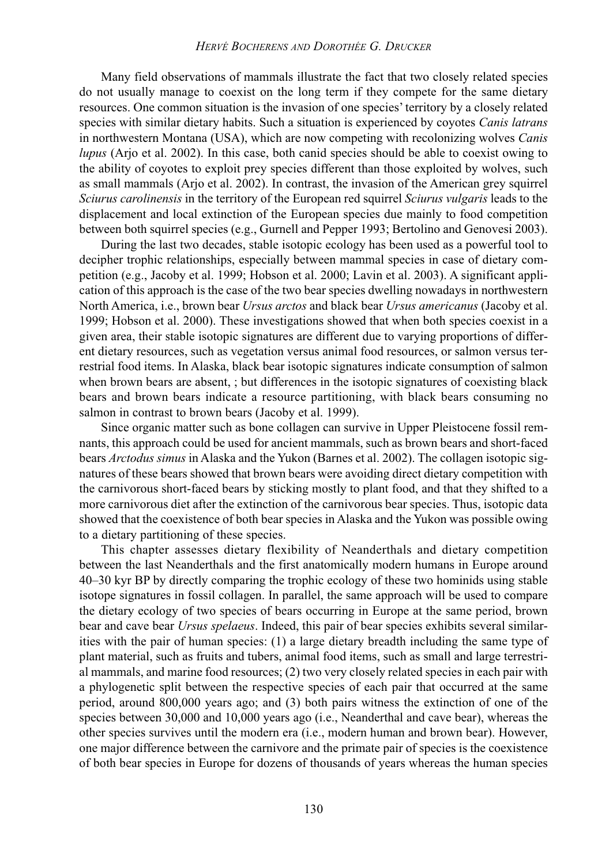#### HERVÉ BOCHERENS AND DOROTHÉE G. DRUCKER

Many field observations of mammals illustrate the fact that two closely related species do not usually manage to coexist on the long term if they compete for the same dietary resources. One common situation is the invasion of one species' territory by a closely related species with similar dietary habits. Such a situation is experienced by coyotes Canis latrans in northwestern Montana (USA), which are now competing with recolonizing wolves Canis lupus (Arjo et al. 2002). In this case, both canid species should be able to coexist owing to the ability of coyotes to exploit prey species different than those exploited by wolves, such as small mammals (Arjo et al. 2002). In contrast, the invasion of the American grey squirrel Sciurus carolinensis in the territory of the European red squirrel Sciurus vulgaris leads to the displacement and local extinction of the European species due mainly to food competition between both squirrel species (e.g., Gurnell and Pepper 1993; Bertolino and Genovesi 2003).

During the last two decades, stable isotopic ecology has been used as a powerful tool to decipher trophic relationships, especially between mammal species in case of dietary competition (e.g., Jacoby et al. 1999; Hobson et al. 2000; Lavin et al. 2003). A significant application of this approach is the case of the two bear species dwelling nowadays in northwestern North America, i.e., brown bear Ursus arctos and black bear Ursus americanus (Jacoby et al. 1999; Hobson et al. 2000). These investigations showed that when both species coexist in a given area, their stable isotopic signatures are different due to varying proportions of different dietary resources, such as vegetation versus animal food resources, or salmon versus terrestrial food items. In Alaska, black bear isotopic signatures indicate consumption of salmon when brown bears are absent, ; but differences in the isotopic signatures of coexisting black bears and brown bears indicate a resource partitioning, with black bears consuming no salmon in contrast to brown bears (Jacoby et al. 1999).

Since organic matter such as bone collagen can survive in Upper Pleistocene fossil remnants, this approach could be used for ancient mammals, such as brown bears and short-faced bears Arctodus simus in Alaska and the Yukon (Barnes et al. 2002). The collagen isotopic signatures of these bears showed that brown bears were avoiding direct dietary competition with the carnivorous short-faced bears by sticking mostly to plant food, and that they shifted to a more carnivorous diet after the extinction of the carnivorous bear species. Thus, isotopic data showed that the coexistence of both bear species in Alaska and the Yukon was possible owing to a dietary partitioning of these species.

This chapter assesses dietary flexibility of Neanderthals and dietary competition between the last Neanderthals and the first anatomically modern humans in Europe around 40–30 kyr BP by directly comparing the trophic ecology of these two hominids using stable isotope signatures in fossil collagen. In parallel, the same approach will be used to compare the dietary ecology of two species of bears occurring in Europe at the same period, brown bear and cave bear Ursus spelaeus. Indeed, this pair of bear species exhibits several similarities with the pair of human species: (1) a large dietary breadth including the same type of plant material, such as fruits and tubers, animal food items, such as small and large terrestrial mammals, and marine food resources; (2) two very closely related species in each pair with a phylogenetic split between the respective species of each pair that occurred at the same period, around 800,000 years ago; and (3) both pairs witness the extinction of one of the species between 30,000 and 10,000 years ago (i.e., Neanderthal and cave bear), whereas the other species survives until the modern era (i.e., modern human and brown bear). However, one major difference between the carnivore and the primate pair of species is the coexistence of both bear species in Europe for dozens of thousands of years whereas the human species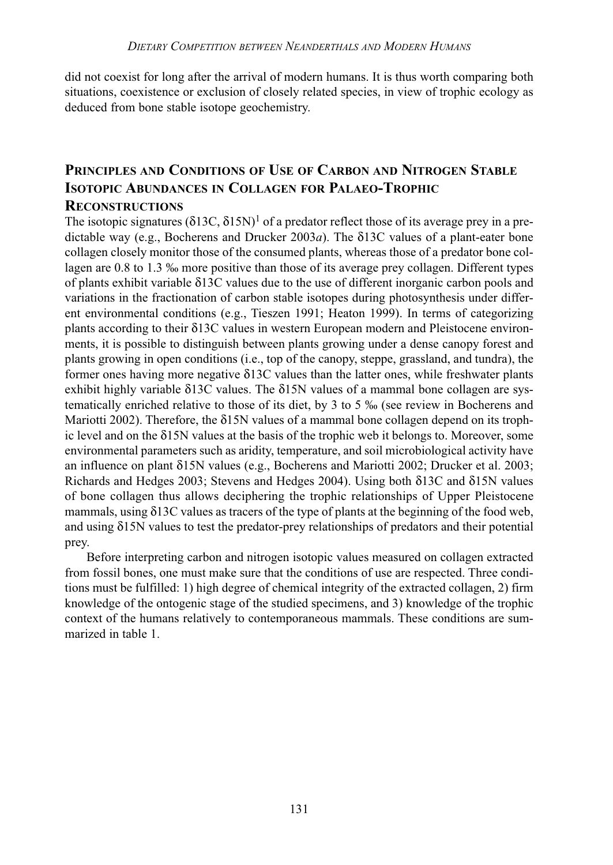did not coexist for long after the arrival of modern humans. It is thus worth comparing both situations, coexistence or exclusion of closely related species, in view of trophic ecology as deduced from bone stable isotope geochemistry.

## PRINCIPLES AND CONDITIONS OF USE OF CARBON AND NITROGEN STABLE ISOTOPIC ABUNDANCES IN COLLAGEN FOR PALAEO-TROPHIC

#### **RECONSTRUCTIONS**

The isotopic signatures  $(\delta 13C, \delta 15N)^1$  of a predator reflect those of its average prey in a predictable way (e.g., Bocherens and Drucker 2003a). The  $\delta$ 13C values of a plant-eater bone collagen closely monitor those of the consumed plants, whereas those of a predator bone collagen are 0.8 to 1.3 ‰ more positive than those of its average prey collagen. Different types of plants exhibit variable δ13C values due to the use of different inorganic carbon pools and variations in the fractionation of carbon stable isotopes during photosynthesis under different environmental conditions (e.g., Tieszen 1991; Heaton 1999). In terms of categorizing plants according to their δ13C values in western European modern and Pleistocene environments, it is possible to distinguish between plants growing under a dense canopy forest and plants growing in open conditions (i.e., top of the canopy, steppe, grassland, and tundra), the former ones having more negative δ13C values than the latter ones, while freshwater plants exhibit highly variable δ13C values. The δ15N values of a mammal bone collagen are systematically enriched relative to those of its diet, by 3 to 5 ‰ (see review in Bocherens and Mariotti 2002). Therefore, the  $\delta$ 15N values of a mammal bone collagen depend on its trophic level and on the δ15N values at the basis of the trophic web it belongs to. Moreover, some environmental parameters such as aridity, temperature, and soil microbiological activity have an influence on plant δ15N values (e.g., Bocherens and Mariotti 2002; Drucker et al. 2003; Richards and Hedges 2003; Stevens and Hedges 2004). Using both δ13C and δ15N values of bone collagen thus allows deciphering the trophic relationships of Upper Pleistocene mammals, using δ13C values as tracers of the type of plants at the beginning of the food web, and using δ15N values to test the predator-prey relationships of predators and their potential prey.

Before interpreting carbon and nitrogen isotopic values measured on collagen extracted from fossil bones, one must make sure that the conditions of use are respected. Three conditions must be fulfilled: 1) high degree of chemical integrity of the extracted collagen, 2) firm knowledge of the ontogenic stage of the studied specimens, and 3) knowledge of the trophic context of the humans relatively to contemporaneous mammals. These conditions are summarized in table 1.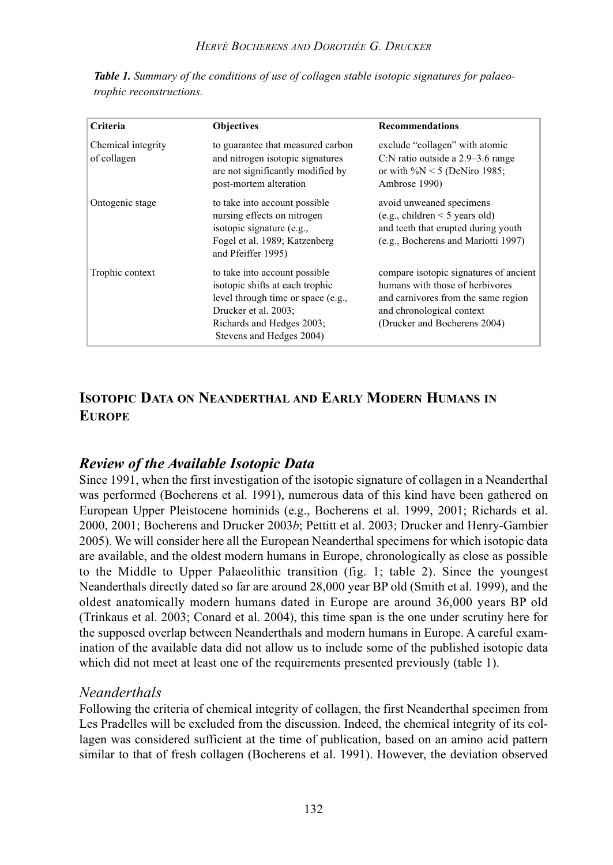| Criteria                          | <b>Objectives</b>                                                                                                                                                                       | <b>Recommendations</b>                                                                                                                                                        |
|-----------------------------------|-----------------------------------------------------------------------------------------------------------------------------------------------------------------------------------------|-------------------------------------------------------------------------------------------------------------------------------------------------------------------------------|
| Chemical integrity<br>of collagen | to guarantee that measured carbon<br>and nitrogen isotopic signatures<br>are not significantly modified by<br>post-mortem alteration                                                    | exclude "collagen" with atomic<br>$C:N$ ratio outside a 2.9–3.6 range<br>or with $\%N < 5$ (DeNiro 1985;<br>Ambrose 1990)                                                     |
| Ontogenic stage                   | to take into account possible<br>nursing effects on nitrogen<br>isotopic signature (e.g.,<br>Fogel et al. 1989; Katzenberg<br>and Pfeiffer 1995)                                        | avoid unweaned specimens<br>$(e.g., children < 5 \text{ years old})$<br>and teeth that erupted during youth<br>(e.g., Bocherens and Mariotti 1997)                            |
| Trophic context                   | to take into account possible<br>isotopic shifts at each trophic<br>level through time or space (e.g.,<br>Drucker et al. 2003;<br>Richards and Hedges 2003;<br>Stevens and Hedges 2004) | compare isotopic signatures of ancient<br>humans with those of herbivores<br>and carnivores from the same region<br>and chronological context<br>(Drucker and Bocherens 2004) |

Table 1. Summary of the conditions of use of collagen stable isotopic signatures for palaeotrophic reconstructions.

## ISOTOPIC DATA ON NEANDERTHAL AND EARLY MODERN HUMANS IN **EUROPE**

## Review of the Available Isotopic Data

Since 1991, when the first investigation of the isotopic signature of collagen in a Neanderthal was performed (Bocherens et al. 1991), numerous data of this kind have been gathered on European Upper Pleistocene hominids (e.g., Bocherens et al. 1999, 2001; Richards et al. 2000, 2001; Bocherens and Drucker 2003b; Pettitt et al. 2003; Drucker and Henry-Gambier 2005). We will consider here all the European Neanderthal specimens for which isotopic data are available, and the oldest modern humans in Europe, chronologically as close as possible to the Middle to Upper Palaeolithic transition (fig. 1; table 2). Since the youngest Neanderthals directly dated so far are around 28,000 year BP old (Smith et al. 1999), and the oldest anatomically modern humans dated in Europe are around 36,000 years BP old (Trinkaus et al. 2003; Conard et al. 2004), this time span is the one under scrutiny here for the supposed overlap between Neanderthals and modern humans in Europe. A careful examination of the available data did not allow us to include some of the published isotopic data which did not meet at least one of the requirements presented previously (table 1).

## **Neanderthals**

Following the criteria of chemical integrity of collagen, the first Neanderthal specimen from Les Pradelles will be excluded from the discussion. Indeed, the chemical integrity of its collagen was considered sufficient at the time of publication, based on an amino acid pattern similar to that of fresh collagen (Bocherens et al. 1991). However, the deviation observed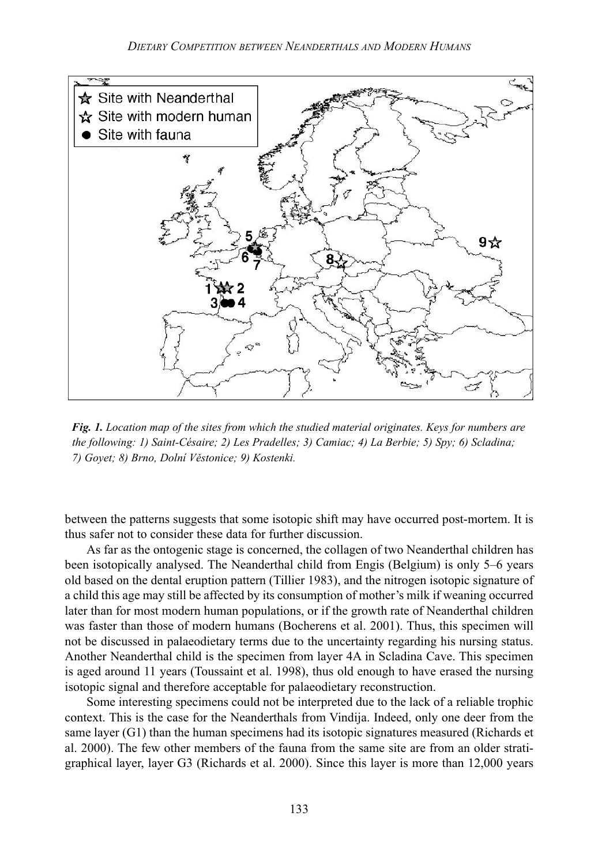

Fig. 1. Location map of the sites from which the studied material originates. Keys for numbers are the following: 1) Saint-Césaire; 2) Les Pradelles; 3) Camiac; 4) La Berbie; 5) Spy; 6) Scladina; 7) Goyet; 8) Brno, Dolní V*ě*stonice; 9) Kostenki.

between the patterns suggests that some isotopic shift may have occurred post-mortem. It is thus safer not to consider these data for further discussion.

As far as the ontogenic stage is concerned, the collagen of two Neanderthal children has been isotopically analysed. The Neanderthal child from Engis (Belgium) is only 5–6 years old based on the dental eruption pattern (Tillier 1983), and the nitrogen isotopic signature of a child this age may still be affected by its consumption of mother's milk if weaning occurred later than for most modern human populations, or if the growth rate of Neanderthal children was faster than those of modern humans (Bocherens et al. 2001). Thus, this specimen will not be discussed in palaeodietary terms due to the uncertainty regarding his nursing status. Another Neanderthal child is the specimen from layer 4A in Scladina Cave. This specimen is aged around 11 years (Toussaint et al. 1998), thus old enough to have erased the nursing isotopic signal and therefore acceptable for palaeodietary reconstruction.

Some interesting specimens could not be interpreted due to the lack of a reliable trophic context. This is the case for the Neanderthals from Vindija. Indeed, only one deer from the same layer (G1) than the human specimens had its isotopic signatures measured (Richards et al. 2000). The few other members of the fauna from the same site are from an older stratigraphical layer, layer G3 (Richards et al. 2000). Since this layer is more than 12,000 years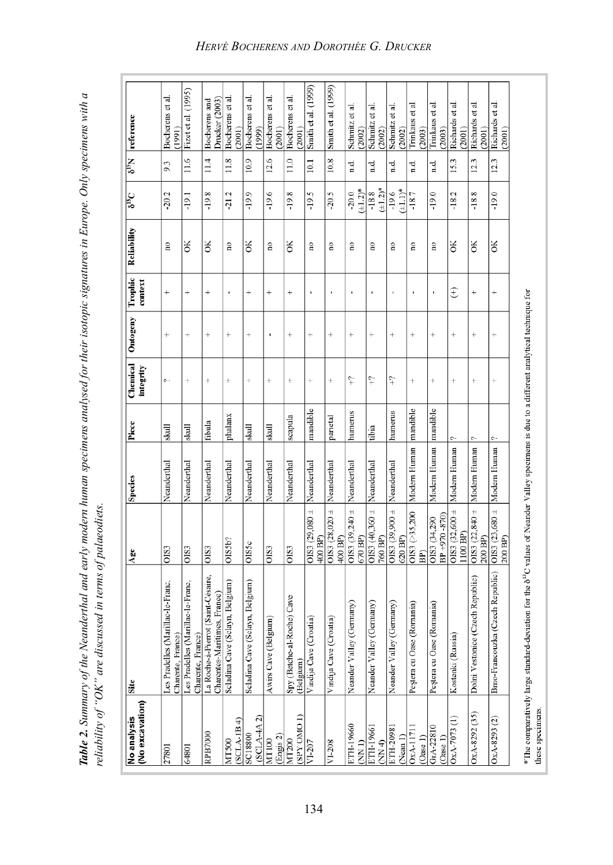Table 2. Summary of the Neanderthal and early modern human specimens analysed for their isotopic signatures in Europe. Only specimens with a Table 2. Summary of the Neanderthal and early modern human specimens analysed for their isotopic signatures in Europe. Only specimens with a reliability of "OK" are discussed in terms of palaeodiets. reliability of "OK" are discussed in terms of palaeodiets.

| (No excavation)<br>No analysis | Site                                                                                                                                                    | Age                                 | Species               | Piece    | Chemical<br>integrity | Ontogeny  | Trophic<br>$\mathop{\mathrm{center}}$ | Reliability             | $\delta^{13}C$           |      | $\delta^{15}$ N reference       |
|--------------------------------|---------------------------------------------------------------------------------------------------------------------------------------------------------|-------------------------------------|-----------------------|----------|-----------------------|-----------|---------------------------------------|-------------------------|--------------------------|------|---------------------------------|
| 27801                          | (Marillac-le-Franc,<br>Charente, France)<br>Les Pradelles                                                                                               | OIS3                                | Neanderthal           | skull    | ç.,                   | $^{+}$    | $^{+}$                                | $\overline{10}$         | 20.2                     | 9.3  | Bocherens et al.<br>(1991)      |
| 64801                          | Les Pradelles (Marillac-le-Franc,<br>Charente, France)                                                                                                  | OIS3                                | Neanderthal           | $sl$ all | $^{+}$                | $^{+}$    | $^{+}$                                | бK                      | $-19.1$                  | 11.6 | Fizet et al. (1995)             |
| RPB7000                        | La Roche-à-Pierrot (Saint-Césaire,<br>Charentes-Maritimes, France)                                                                                      | <b>OIS3</b>                         | Neanderthal           | fibula   | $^{+}$                | $^{+}$    | $^{+}$                                | ЭK                      | $-19.8$                  | 11.4 | Drucker (2003)<br>Bocherens and |
| $SCLA-IB4$<br>MT500            | Scladina Cave (Sclayn, Belgium)                                                                                                                         | $OISSD$ ?                           | Neanderthal           | phalanx  | $^{+}$                | $\ddot{}$ |                                       | $\overline{\mathbf{a}}$ | $-21.2$                  | 11.8 | Bocherens et al.<br>(2001)      |
| $(SCLA-4A2)$<br><b>SC18800</b> | Scladina Cave (Sclayn, Belgium)                                                                                                                         | OISSc                               | Neanderthal           | slail    | $^{+}$                | $^{+}$    | $^{+}$                                | ŏК                      | $-19.9$                  | 10.9 | Bocherens et al.<br>(1999)      |
| (Engis 2)<br><b>MT100</b>      | Awirs Cave (Belgium)                                                                                                                                    | OIS3                                | Neanderthal           | $sl$ all | $^{+}$                | ï         | $^{+}$                                | $\overline{10}$         | $-19.6$                  | 12.6 | Bocherens et al.<br>(2001)      |
| (I ONO AdS)<br>MT200           | Spy (Betche-al-Roche) Cave<br>(Belgium)                                                                                                                 | OIS3                                | Neanderthal           | scapula  | $^{+}$                | $^{+}$    | $^{+}$                                | ΟK                      | $-19.8$                  | 11.0 | Bocherens et al.<br>(2001)      |
| VI-207                         | Vindija Cave (Croatia)                                                                                                                                  | OIS3 $(29,080 +$<br>400 BP)         | Neanderthal           | mandible | $^{+}$                | $^{+}$    | <b>I</b>                              | no                      | $-19.5$                  | 10.1 | Smith et al. (1999)             |
| VI-208                         | Vindija Cave (Croatia)                                                                                                                                  | OIS3 (28,020 $\pm$<br>400 BP)       | Neanderthal           | parietal | $^{+}$                | $^{+}$    |                                       | no                      | 20.5                     | 10.8 | Smith et al. (1999)             |
| ETH-19660<br>$\overline{N}$ 1) | ey (Germany)<br>Neander Vall                                                                                                                            | $OIS3 (39,240 \pm$<br>670 BP)       | Neanderthal           | humerus  | $\hat{z}$             | $^{+}$    | $\blacksquare$                        | $\overline{\mathbf{n}}$ | $(\pm 1.2)^*$<br>$-20.0$ | n.d. | Schmitz et al.<br>(2002)        |
| ETH-19661<br>(NN4)             | ey (Germany)<br>Neander Vall                                                                                                                            | OIS3 (40,360 $\pm$<br>760 BP)       | Neanderthal           | tibia    | $\hat{z}$             | $^{+}$    | ı                                     | $\overline{10}$         | $(\pm 1.2)^*$<br>$-18.8$ | 1d   | Schmitz et al.<br>(2002)        |
| ETH-20981<br>(Nean 1)          | ey (Germany)<br>Neander Vall                                                                                                                            | OIS3 (39,900 $\pm$<br>620 BP)       | Neanderthal           | humerus  | $\widehat{ }$         | $^{+}$    | ı                                     | no                      | $(\pm 1.1)^*$<br>$-19.6$ | n.d. | Schmitz et al.<br>(2002)        |
| <b>OxA-11711</b><br>(Case 1)   | Peştera cu Oase (Romania)                                                                                                                               | OIS3 (>35,200<br>BP)                | Modern Human          | mandible | $^{+}$                | $^{+}$    | ı                                     | $\overline{\mathbf{n}}$ | $-18.7$                  | n.d. | Trinkaus et al.<br>(2003)       |
| GrA-22810<br>(Case 1)          | Peștera cu Oase (Romania)                                                                                                                               | BP+970-870<br>OIS3 (34,290          | Modern Human mandible |          | $^{+}$                | $^{+}$    | ï                                     | $\overline{\mathbf{n}}$ | $-19.0$                  | d.   | Trinkaus et al.<br>(2003)       |
| $OxA-7073(1)$                  | Kostenki (Russia)                                                                                                                                       | OIS3 $(32,600 \pm 1100 \text{ BP})$ | Modern Human          | ç.       | $^{+}$                | $^{+}$    | $\widehat{t}$                         | бK                      | $-18.2$                  | 15.3 | Richards et al.<br>(2001)       |
| OxA-8292 (35)                  | Dolni Vestonice (Czech Republic)                                                                                                                        | OIS3 (22,840 $\pm$<br>200 BP)       | Modern Human          | ς.       | $^{+}$                | $^{+}$    | $^{+}$                                | бK                      | $-18.8$                  | 12.3 | Richards et al.<br>(2001)       |
| OxA-8293 (2)                   | ızka (Czech Republic)<br>Brno-Franco                                                                                                                    | $OIS3 (23,680 +$<br>200 BP)         | Modern Human          | ç.       |                       |           | $^{+}$                                | ЭK                      | $-19.0$                  | 12.3 | Richards et al.<br>(2001)       |
| these specimens.               | *The comparatively large standard-deviation for the 8 <sup>12</sup> C values of Neander Valley specimens is due to a different analytical technique for |                                     |                       |          |                       |           |                                       |                         |                          |      |                                 |

#### HERVÉ BOCHERENS AND DOROTHÉE G. DRUCKER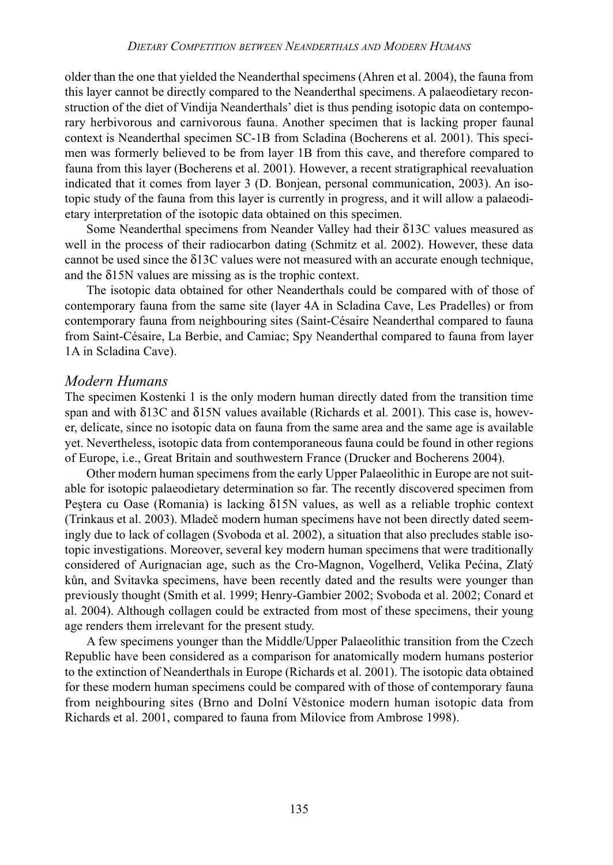older than the one that yielded the Neanderthal specimens (Ahren et al. 2004), the fauna from this layer cannot be directly compared to the Neanderthal specimens. A palaeodietary reconstruction of the diet of Vindija Neanderthals' diet is thus pending isotopic data on contemporary herbivorous and carnivorous fauna. Another specimen that is lacking proper faunal context is Neanderthal specimen SC-1B from Scladina (Bocherens et al. 2001). This specimen was formerly believed to be from layer 1B from this cave, and therefore compared to fauna from this layer (Bocherens et al. 2001). However, a recent stratigraphical reevaluation indicated that it comes from layer 3 (D. Bonjean, personal communication, 2003). An isotopic study of the fauna from this layer is currently in progress, and it will allow a palaeodietary interpretation of the isotopic data obtained on this specimen.

Some Neanderthal specimens from Neander Valley had their δ13C values measured as well in the process of their radiocarbon dating (Schmitz et al. 2002). However, these data cannot be used since the  $\delta$ 13C values were not measured with an accurate enough technique, and the δ15N values are missing as is the trophic context.

The isotopic data obtained for other Neanderthals could be compared with of those of contemporary fauna from the same site (layer 4A in Scladina Cave, Les Pradelles) or from contemporary fauna from neighbouring sites (Saint-Césaire Neanderthal compared to fauna from Saint-Césaire, La Berbie, and Camiac; Spy Neanderthal compared to fauna from layer 1A in Scladina Cave).

#### Modern Humans

The specimen Kostenki 1 is the only modern human directly dated from the transition time span and with δ13C and δ15N values available (Richards et al. 2001). This case is, however, delicate, since no isotopic data on fauna from the same area and the same age is available yet. Nevertheless, isotopic data from contemporaneous fauna could be found in other regions of Europe, i.e., Great Britain and southwestern France (Drucker and Bocherens 2004).

Other modern human specimens from the early Upper Palaeolithic in Europe are not suitable for isotopic palaeodietary determination so far. The recently discovered specimen from Peøtera cu Oase (Romania) is lacking δ15N values, as well as a reliable trophic context (Trinkaus et al. 2003). Mladeč modern human specimens have not been directly dated seemingly due to lack of collagen (Svoboda et al. 2002), a situation that also precludes stable isotopic investigations. Moreover, several key modern human specimens that were traditionally considered of Aurignacian age, such as the Cro-Magnon, Vogelherd, Velika Pećina, Zlatý kůn, and Svitavka specimens, have been recently dated and the results were younger than previously thought (Smith et al. 1999; Henry-Gambier 2002; Svoboda et al. 2002; Conard et al. 2004). Although collagen could be extracted from most of these specimens, their young age renders them irrelevant for the present study.

A few specimens younger than the Middle/Upper Palaeolithic transition from the Czech Republic have been considered as a comparison for anatomically modern humans posterior to the extinction of Neanderthals in Europe (Richards et al. 2001). The isotopic data obtained for these modern human specimens could be compared with of those of contemporary fauna from neighbouring sites (Brno and Dolní Věstonice modern human isotopic data from Richards et al. 2001, compared to fauna from Milovice from Ambrose 1998).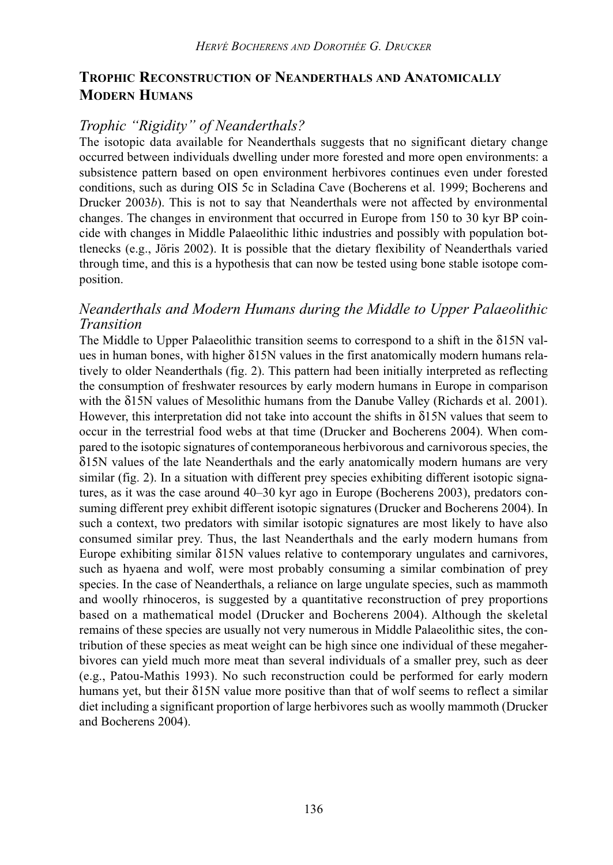## TROPHIC RECONSTRUCTION OF NEANDERTHALS AND ANATOMICALLY MODERN HUMANS

## Trophic "Rigidity" of Neanderthals?

The isotopic data available for Neanderthals suggests that no significant dietary change occurred between individuals dwelling under more forested and more open environments: a subsistence pattern based on open environment herbivores continues even under forested conditions, such as during OIS 5c in Scladina Cave (Bocherens et al. 1999; Bocherens and Drucker 2003b). This is not to say that Neanderthals were not affected by environmental changes. The changes in environment that occurred in Europe from 150 to 30 kyr BP coincide with changes in Middle Palaeolithic lithic industries and possibly with population bottlenecks (e.g., Jöris 2002). It is possible that the dietary flexibility of Neanderthals varied through time, and this is a hypothesis that can now be tested using bone stable isotope composition.

## Neanderthals and Modern Humans during the Middle to Upper Palaeolithic Transition

The Middle to Upper Palaeolithic transition seems to correspond to a shift in the δ15N values in human bones, with higher δ15N values in the first anatomically modern humans relatively to older Neanderthals (fig. 2). This pattern had been initially interpreted as reflecting the consumption of freshwater resources by early modern humans in Europe in comparison with the  $\delta$ 15N values of Mesolithic humans from the Danube Valley (Richards et al. 2001). However, this interpretation did not take into account the shifts in  $\delta$ 15N values that seem to occur in the terrestrial food webs at that time (Drucker and Bocherens 2004). When compared to the isotopic signatures of contemporaneous herbivorous and carnivorous species, the δ15N values of the late Neanderthals and the early anatomically modern humans are very similar (fig. 2). In a situation with different prey species exhibiting different isotopic signatures, as it was the case around 40–30 kyr ago in Europe (Bocherens 2003), predators consuming different prey exhibit different isotopic signatures (Drucker and Bocherens 2004). In such a context, two predators with similar isotopic signatures are most likely to have also consumed similar prey. Thus, the last Neanderthals and the early modern humans from Europe exhibiting similar δ15N values relative to contemporary ungulates and carnivores, such as hyaena and wolf, were most probably consuming a similar combination of prey species. In the case of Neanderthals, a reliance on large ungulate species, such as mammoth and woolly rhinoceros, is suggested by a quantitative reconstruction of prey proportions based on a mathematical model (Drucker and Bocherens 2004). Although the skeletal remains of these species are usually not very numerous in Middle Palaeolithic sites, the contribution of these species as meat weight can be high since one individual of these megaherbivores can yield much more meat than several individuals of a smaller prey, such as deer (e.g., Patou-Mathis 1993). No such reconstruction could be performed for early modern humans yet, but their δ15N value more positive than that of wolf seems to reflect a similar diet including a significant proportion of large herbivores such as woolly mammoth (Drucker and Bocherens 2004).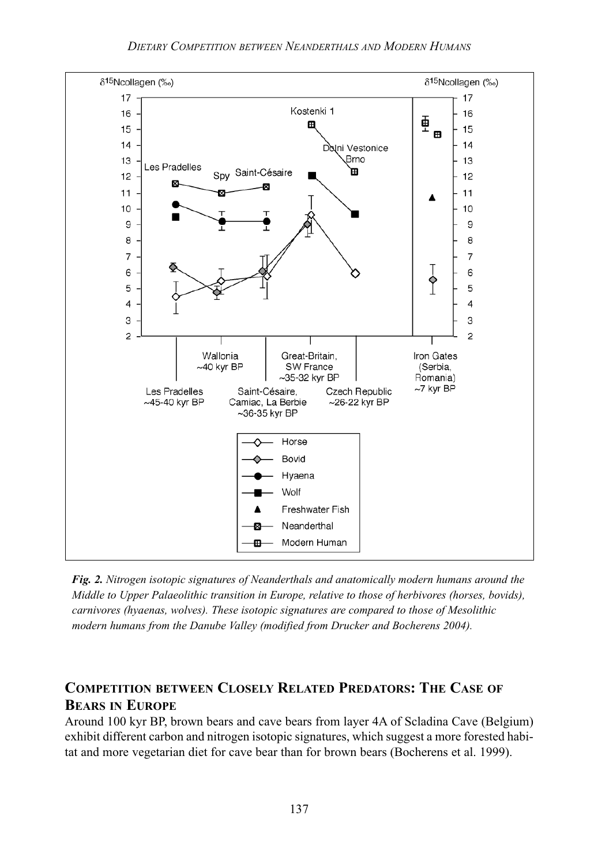

Fig. 2. Nitrogen isotopic signatures of Neanderthals and anatomically modern humans around the Middle to Upper Palaeolithic transition in Europe, relative to those of herbivores (horses, bovids), carnivores (hyaenas, wolves). These isotopic signatures are compared to those of Mesolithic modern humans from the Danube Valley (modified from Drucker and Bocherens 2004).

## COMPETITION BETWEEN CLOSELY RELATED PREDATORS: THE CASE OF BEARS IN EUROPE

Around 100 kyr BP, brown bears and cave bears from layer 4A of Scladina Cave (Belgium) exhibit different carbon and nitrogen isotopic signatures, which suggest a more forested habitat and more vegetarian diet for cave bear than for brown bears (Bocherens et al. 1999).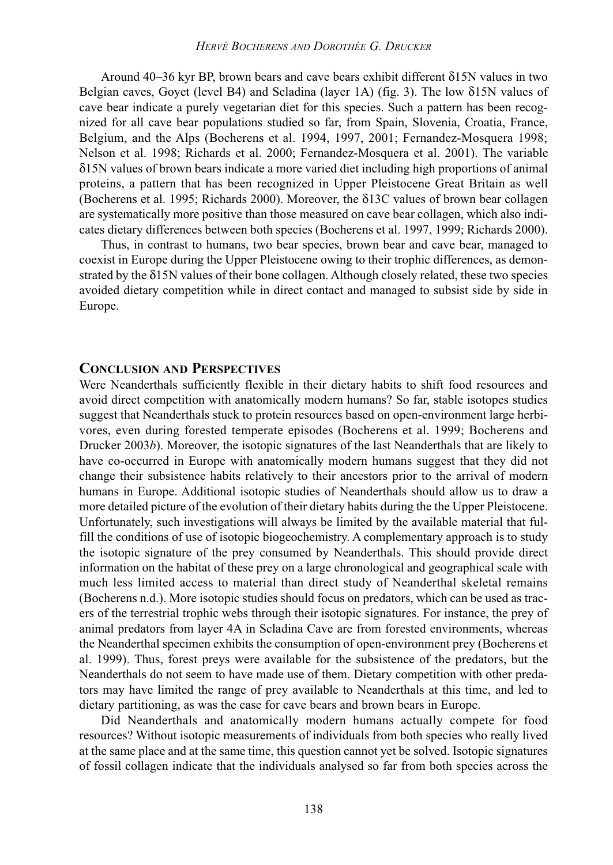#### HERVÉ BOCHERENS AND DOROTHÉE G. DRUCKER

Around 40–36 kyr BP, brown bears and cave bears exhibit different δ15N values in two Belgian caves, Goyet (level B4) and Scladina (layer 1A) (fig. 3). The low  $\delta$ 15N values of cave bear indicate a purely vegetarian diet for this species. Such a pattern has been recognized for all cave bear populations studied so far, from Spain, Slovenia, Croatia, France, Belgium, and the Alps (Bocherens et al. 1994, 1997, 2001; Fernandez-Mosquera 1998; Nelson et al. 1998; Richards et al. 2000; Fernandez-Mosquera et al. 2001). The variable δ15N values of brown bears indicate a more varied diet including high proportions of animal proteins, a pattern that has been recognized in Upper Pleistocene Great Britain as well (Bocherens et al. 1995; Richards 2000). Moreover, the δ13C values of brown bear collagen are systematically more positive than those measured on cave bear collagen, which also indicates dietary differences between both species (Bocherens et al. 1997, 1999; Richards 2000).

Thus, in contrast to humans, two bear species, brown bear and cave bear, managed to coexist in Europe during the Upper Pleistocene owing to their trophic differences, as demonstrated by the δ15N values of their bone collagen. Although closely related, these two species avoided dietary competition while in direct contact and managed to subsist side by side in Europe.

#### CONCLUSION AND PERSPECTIVES

Were Neanderthals sufficiently flexible in their dietary habits to shift food resources and avoid direct competition with anatomically modern humans? So far, stable isotopes studies suggest that Neanderthals stuck to protein resources based on open-environment large herbivores, even during forested temperate episodes (Bocherens et al. 1999; Bocherens and Drucker 2003b). Moreover, the isotopic signatures of the last Neanderthals that are likely to have co-occurred in Europe with anatomically modern humans suggest that they did not change their subsistence habits relatively to their ancestors prior to the arrival of modern humans in Europe. Additional isotopic studies of Neanderthals should allow us to draw a more detailed picture of the evolution of their dietary habits during the the Upper Pleistocene. Unfortunately, such investigations will always be limited by the available material that fulfill the conditions of use of isotopic biogeochemistry. A complementary approach is to study the isotopic signature of the prey consumed by Neanderthals. This should provide direct information on the habitat of these prey on a large chronological and geographical scale with much less limited access to material than direct study of Neanderthal skeletal remains (Bocherens n.d.). More isotopic studies should focus on predators, which can be used as tracers of the terrestrial trophic webs through their isotopic signatures. For instance, the prey of animal predators from layer 4A in Scladina Cave are from forested environments, whereas the Neanderthal specimen exhibits the consumption of open-environment prey (Bocherens et al. 1999). Thus, forest preys were available for the subsistence of the predators, but the Neanderthals do not seem to have made use of them. Dietary competition with other predators may have limited the range of prey available to Neanderthals at this time, and led to dietary partitioning, as was the case for cave bears and brown bears in Europe.

Did Neanderthals and anatomically modern humans actually compete for food resources? Without isotopic measurements of individuals from both species who really lived at the same place and at the same time, this question cannot yet be solved. Isotopic signatures of fossil collagen indicate that the individuals analysed so far from both species across the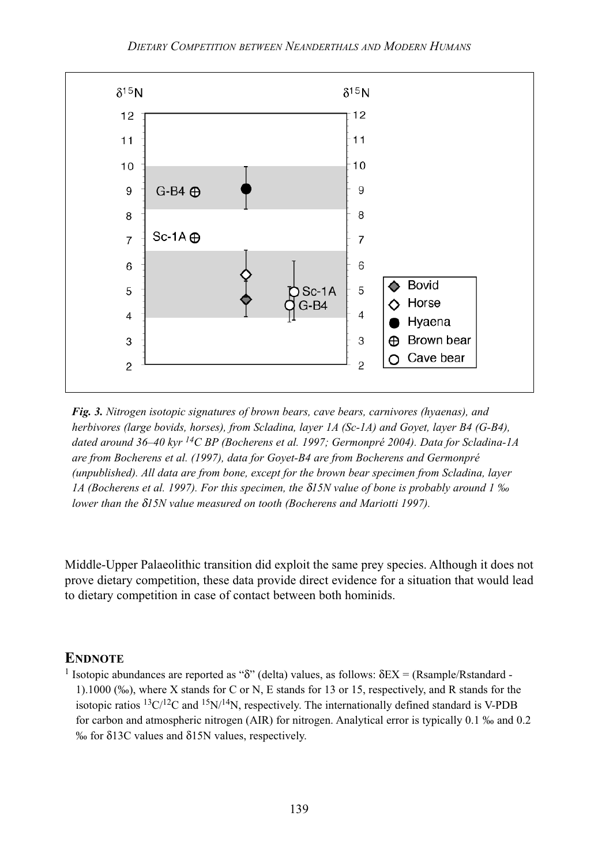

Fig. 3. Nitrogen isotopic signatures of brown bears, cave bears, carnivores (hyaenas), and herbivores (large bovids, horses), from Scladina, layer 1A (Sc-1A) and Goyet, layer B4 (G-B4), dated around 36–40 kyr <sup>14</sup>C BP (Bocherens et al. 1997; Germonpré 2004). Data for Scladina-1A are from Bocherens et al. (1997), data for Goyet-B4 are from Bocherens and Germonpré (unpublished). All data are from bone, except for the brown bear specimen from Scladina, layer 1A (Bocherens et al. 1997). For this specimen, the  $\delta$ 15N value of bone is probably around 1 ‰ lower than the δ15N value measured on tooth (Bocherens and Mariotti 1997).

Middle-Upper Palaeolithic transition did exploit the same prey species. Although it does not prove dietary competition, these data provide direct evidence for a situation that would lead to dietary competition in case of contact between both hominids.

## **ENDNOTE**

<sup>1</sup> Isotopic abundances are reported as "δ" (delta) values, as follows:  $\delta$ EX = (Rsample/Rstandard -1).1000 (‰), where X stands for C or N, E stands for 13 or 15, respectively, and R stands for the isotopic ratios 13C/12C and 15N/14N, respectively. The internationally defined standard is V-PDB for carbon and atmospheric nitrogen (AIR) for nitrogen. Analytical error is typically 0.1 ‰ and 0.2 ‰ for δ13C values and δ15N values, respectively.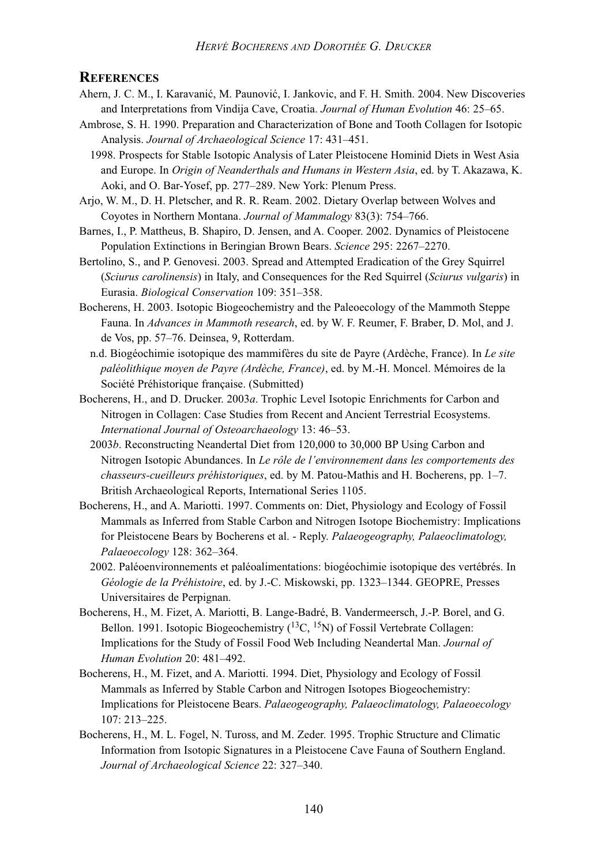#### **REFERENCES**

- Ahern, J. C. M., I. Karavanić, M. Paunović, I. Jankovic, and F. H. Smith. 2004. New Discoveries and Interpretations from Vindija Cave, Croatia. Journal of Human Evolution 46: 25–65.
- Ambrose, S. H. 1990. Preparation and Characterization of Bone and Tooth Collagen for Isotopic Analysis. Journal of Archaeological Science 17: 431–451.
	- 1998. Prospects for Stable Isotopic Analysis of Later Pleistocene Hominid Diets in West Asia and Europe. In Origin of Neanderthals and Humans in Western Asia, ed. by T. Akazawa, K. Aoki, and O. Bar-Yosef, pp. 277–289. New York: Plenum Press.
- Arjo, W. M., D. H. Pletscher, and R. R. Ream. 2002. Dietary Overlap between Wolves and Coyotes in Northern Montana. Journal of Mammalogy 83(3): 754–766.
- Barnes, I., P. Mattheus, B. Shapiro, D. Jensen, and A. Cooper. 2002. Dynamics of Pleistocene Population Extinctions in Beringian Brown Bears. Science 295: 2267–2270.
- Bertolino, S., and P. Genovesi. 2003. Spread and Attempted Eradication of the Grey Squirrel (Sciurus carolinensis) in Italy, and Consequences for the Red Squirrel (Sciurus vulgaris) in Eurasia. Biological Conservation 109: 351–358.
- Bocherens, H. 2003. Isotopic Biogeochemistry and the Paleoecology of the Mammoth Steppe Fauna. In Advances in Mammoth research, ed. by W. F. Reumer, F. Braber, D. Mol, and J. de Vos, pp. 57–76. Deinsea, 9, Rotterdam.
	- n.d. Biogéochimie isotopique des mammifères du site de Payre (Ardèche, France). In Le site paléolithique moyen de Payre (Ardèche, France), ed. by M.-H. Moncel. Mémoires de la Société Préhistorique française. (Submitted)
- Bocherens, H., and D. Drucker. 2003a. Trophic Level Isotopic Enrichments for Carbon and Nitrogen in Collagen: Case Studies from Recent and Ancient Terrestrial Ecosystems. International Journal of Osteoarchaeology 13: 46–53.
	- 2003b. Reconstructing Neandertal Diet from 120,000 to 30,000 BP Using Carbon and Nitrogen Isotopic Abundances. In Le rôle de l'environnement dans les comportements des chasseurs-cueilleurs préhistoriques, ed. by M. Patou-Mathis and H. Bocherens, pp. 1–7. British Archaeological Reports, International Series 1105.
- Bocherens, H., and A. Mariotti. 1997. Comments on: Diet, Physiology and Ecology of Fossil Mammals as Inferred from Stable Carbon and Nitrogen Isotope Biochemistry: Implications for Pleistocene Bears by Bocherens et al. - Reply. Palaeogeography, Palaeoclimatology, Palaeoecology 128: 362–364.
	- 2002. Paléoenvironnements et paléoalimentations: biogéochimie isotopique des vertébrés. In Géologie de la Préhistoire, ed. by J.-C. Miskowski, pp. 1323–1344. GEOPRE, Presses Universitaires de Perpignan.
- Bocherens, H., M. Fizet, A. Mariotti, B. Lange-Badré, B. Vandermeersch, J.-P. Borel, and G. Bellon. 1991. Isotopic Biogeochemistry  $(^{13}C, ^{15}N)$  of Fossil Vertebrate Collagen: Implications for the Study of Fossil Food Web Including Neandertal Man. Journal of Human Evolution 20: 481–492.
- Bocherens, H., M. Fizet, and A. Mariotti. 1994. Diet, Physiology and Ecology of Fossil Mammals as Inferred by Stable Carbon and Nitrogen Isotopes Biogeochemistry: Implications for Pleistocene Bears. Palaeogeography, Palaeoclimatology, Palaeoecology 107: 213–225.
- Bocherens, H., M. L. Fogel, N. Tuross, and M. Zeder. 1995. Trophic Structure and Climatic Information from Isotopic Signatures in a Pleistocene Cave Fauna of Southern England. Journal of Archaeological Science 22: 327–340.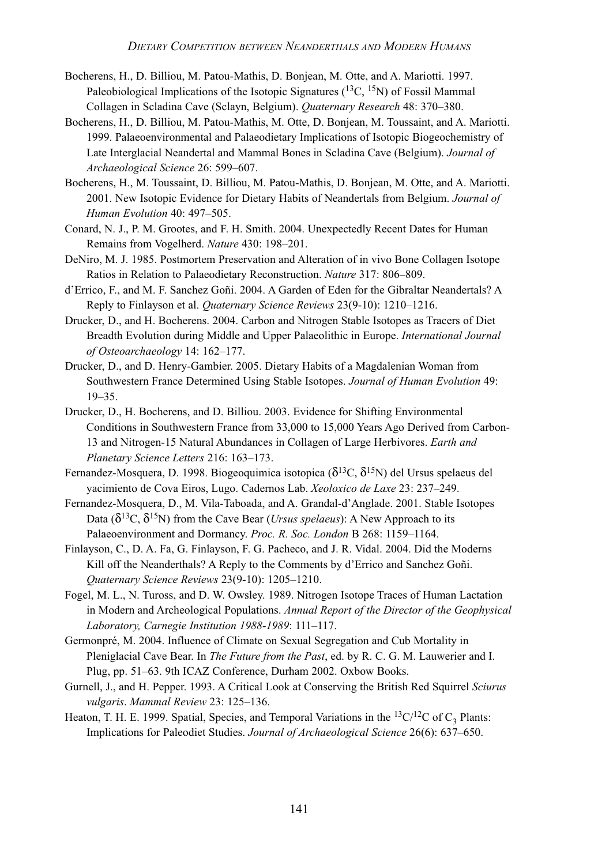- Bocherens, H., D. Billiou, M. Patou-Mathis, D. Bonjean, M. Otte, and A. Mariotti. 1997. Paleobiological Implications of the Isotopic Signatures  $(^{13}C, ^{15}N)$  of Fossil Mammal Collagen in Scladina Cave (Sclayn, Belgium). Quaternary Research 48: 370–380.
- Bocherens, H., D. Billiou, M. Patou-Mathis, M. Otte, D. Bonjean, M. Toussaint, and A. Mariotti. 1999. Palaeoenvironmental and Palaeodietary Implications of Isotopic Biogeochemistry of Late Interglacial Neandertal and Mammal Bones in Scladina Cave (Belgium). Journal of Archaeological Science 26: 599–607.
- Bocherens, H., M. Toussaint, D. Billiou, M. Patou-Mathis, D. Bonjean, M. Otte, and A. Mariotti. 2001. New Isotopic Evidence for Dietary Habits of Neandertals from Belgium. Journal of Human Evolution 40: 497–505.
- Conard, N. J., P. M. Grootes, and F. H. Smith. 2004. Unexpectedly Recent Dates for Human Remains from Vogelherd. Nature 430: 198–201.
- DeNiro, M. J. 1985. Postmortem Preservation and Alteration of in vivo Bone Collagen Isotope Ratios in Relation to Palaeodietary Reconstruction. Nature 317: 806–809.
- d'Errico, F., and M. F. Sanchez Goñi. 2004. A Garden of Eden for the Gibraltar Neandertals? A Reply to Finlayson et al. Quaternary Science Reviews 23(9-10): 1210–1216.
- Drucker, D., and H. Bocherens. 2004. Carbon and Nitrogen Stable Isotopes as Tracers of Diet Breadth Evolution during Middle and Upper Palaeolithic in Europe. International Journal of Osteoarchaeology 14: 162–177.
- Drucker, D., and D. Henry-Gambier. 2005. Dietary Habits of a Magdalenian Woman from Southwestern France Determined Using Stable Isotopes. Journal of Human Evolution 49: 19–35.
- Drucker, D., H. Bocherens, and D. Billiou. 2003. Evidence for Shifting Environmental Conditions in Southwestern France from 33,000 to 15,000 Years Ago Derived from Carbon-13 and Nitrogen-15 Natural Abundances in Collagen of Large Herbivores. Earth and Planetary Science Letters 216: 163–173.
- Fernandez-Mosquera, D. 1998. Biogeoquimica isotopica ( $\delta^{13}C$ ,  $\delta^{15}N$ ) del Ursus spelaeus del yacimiento de Cova Eiros, Lugo. Cadernos Lab. Xeoloxico de Laxe 23: 237–249.
- Fernandez-Mosquera, D., M. Vila-Taboada, and A. Grandal-d'Anglade. 2001. Stable Isotopes Data ( $\delta^{13}C$ ,  $\delta^{15}N$ ) from the Cave Bear (*Ursus spelaeus*): A New Approach to its Palaeoenvironment and Dormancy. Proc. R. Soc. London B 268: 1159–1164.
- Finlayson, C., D. A. Fa, G. Finlayson, F. G. Pacheco, and J. R. Vidal. 2004. Did the Moderns Kill off the Neanderthals? A Reply to the Comments by d'Errico and Sanchez Goñi. Quaternary Science Reviews 23(9-10): 1205–1210.
- Fogel, M. L., N. Tuross, and D. W. Owsley. 1989. Nitrogen Isotope Traces of Human Lactation in Modern and Archeological Populations. Annual Report of the Director of the Geophysical Laboratory, Carnegie Institution 1988-1989: 111–117.
- Germonpré, M. 2004. Influence of Climate on Sexual Segregation and Cub Mortality in Pleniglacial Cave Bear. In The Future from the Past, ed. by R. C. G. M. Lauwerier and I. Plug, pp. 51–63. 9th ICAZ Conference, Durham 2002. Oxbow Books.
- Gurnell, J., and H. Pepper. 1993. A Critical Look at Conserving the British Red Squirrel Sciurus vulgaris. Mammal Review 23: 125–136.
- Heaton, T. H. E. 1999. Spatial, Species, and Temporal Variations in the  ${}^{13}C/{}^{12}C$  of  $C_3$  Plants: Implications for Paleodiet Studies. Journal of Archaeological Science 26(6): 637–650.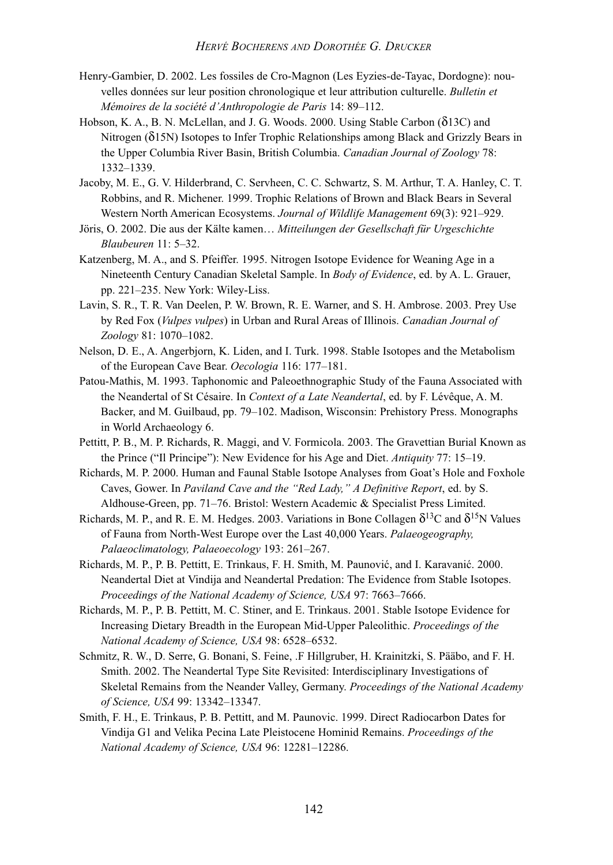- Henry-Gambier, D. 2002. Les fossiles de Cro-Magnon (Les Eyzies-de-Tayac, Dordogne): nouvelles données sur leur position chronologique et leur attribution culturelle. Bulletin et Mémoires de la société d'Anthropologie de Paris 14: 89–112.
- Hobson, K. A., B. N. McLellan, and J. G. Woods. 2000. Using Stable Carbon (δ13C) and Nitrogen (δ15N) Isotopes to Infer Trophic Relationships among Black and Grizzly Bears in the Upper Columbia River Basin, British Columbia. Canadian Journal of Zoology 78: 1332–1339.
- Jacoby, M. E., G. V. Hilderbrand, C. Servheen, C. C. Schwartz, S. M. Arthur, T. A. Hanley, C. T. Robbins, and R. Michener. 1999. Trophic Relations of Brown and Black Bears in Several Western North American Ecosystems. Journal of Wildlife Management 69(3): 921–929.
- Jöris, O. 2002. Die aus der Kälte kamen… Mitteilungen der Gesellschaft für Urgeschichte Blaubeuren 11: 5–32.
- Katzenberg, M. A., and S. Pfeiffer. 1995. Nitrogen Isotope Evidence for Weaning Age in a Nineteenth Century Canadian Skeletal Sample. In Body of Evidence, ed. by A. L. Grauer, pp. 221–235. New York: Wiley-Liss.
- Lavin, S. R., T. R. Van Deelen, P. W. Brown, R. E. Warner, and S. H. Ambrose. 2003. Prey Use by Red Fox (Vulpes vulpes) in Urban and Rural Areas of Illinois. Canadian Journal of Zoology 81: 1070–1082.
- Nelson, D. E., A. Angerbjorn, K. Liden, and I. Turk. 1998. Stable Isotopes and the Metabolism of the European Cave Bear. Oecologia 116: 177–181.
- Patou-Mathis, M. 1993. Taphonomic and Paleoethnographic Study of the Fauna Associated with the Neandertal of St Césaire. In Context of a Late Neandertal, ed. by F. Lévêque, A. M. Backer, and M. Guilbaud, pp. 79–102. Madison, Wisconsin: Prehistory Press. Monographs in World Archaeology 6.
- Pettitt, P. B., M. P. Richards, R. Maggi, and V. Formicola. 2003. The Gravettian Burial Known as the Prince ("Il Principe"): New Evidence for his Age and Diet. Antiquity 77: 15–19.
- Richards, M. P. 2000. Human and Faunal Stable Isotope Analyses from Goat's Hole and Foxhole Caves, Gower. In Paviland Cave and the "Red Lady," A Definitive Report, ed. by S. Aldhouse-Green, pp. 71–76. Bristol: Western Academic & Specialist Press Limited.
- Richards, M. P., and R. E. M. Hedges. 2003. Variations in Bone Collagen  $\delta^{13}$ C and  $\delta^{15}$ N Values of Fauna from North-West Europe over the Last 40,000 Years. Palaeogeography, Palaeoclimatology, Palaeoecology 193: 261–267.
- Richards, M. P., P. B. Pettitt, E. Trinkaus, F. H. Smith, M. Paunović, and I. Karavanić. 2000. Neandertal Diet at Vindija and Neandertal Predation: The Evidence from Stable Isotopes. Proceedings of the National Academy of Science, USA 97: 7663–7666.
- Richards, M. P., P. B. Pettitt, M. C. Stiner, and E. Trinkaus. 2001. Stable Isotope Evidence for Increasing Dietary Breadth in the European Mid-Upper Paleolithic. Proceedings of the National Academy of Science, USA 98: 6528–6532.
- Schmitz, R. W., D. Serre, G. Bonani, S. Feine, .F Hillgruber, H. Krainitzki, S. Pääbo, and F. H. Smith. 2002. The Neandertal Type Site Revisited: Interdisciplinary Investigations of Skeletal Remains from the Neander Valley, Germany. Proceedings of the National Academy of Science, USA 99: 13342–13347.
- Smith, F. H., E. Trinkaus, P. B. Pettitt, and M. Paunovic. 1999. Direct Radiocarbon Dates for Vindija G1 and Velika Pecina Late Pleistocene Hominid Remains. Proceedings of the National Academy of Science, USA 96: 12281–12286.